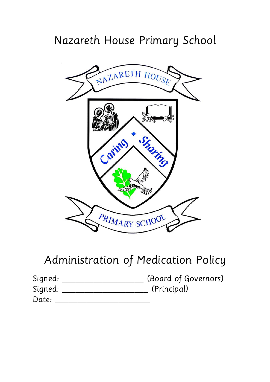## Nazareth House Primary School



# Administration of Medication Policy

| Signed: | (Board of Governors) |
|---------|----------------------|
| Signed: | (Principal)          |
| Date:   |                      |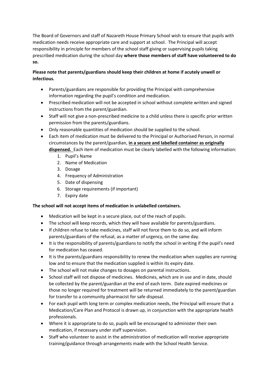The Board of Governors and staff of Nazareth House Primary School wish to ensure that pupils with medication needs receive appropriate care and support at school. The Principal will accept responsibility in principle for members of the school staff giving or supervising pupils taking prescribed medication during the school day **where those members of staff have volunteered to do so.**

### **Please note that parents/guardians should keep their children at home if acutely unwell or infectious.**

- Parents/guardians are responsible for providing the Principal with comprehensive information regarding the pupil's condition and medication.
- Prescribed medication will not be accepted in school without complete written and signed instructions from the parent/guardian.
- Staff will not give a non-prescribed medicine to a child unless there is specific prior written permission from the parents/guardians.
- Only reasonable quantities of medication should be supplied to the school.
- Each item of medication must be delivered to the Principal or Authorised Person, in normal circumstances by the parent/guardian, **in a secure and labelled container as originally dispensed.** Each item of medication must be clearly labelled with the following information:
	- 1. Pupil's Name
	- 2. Name of Medication
	- 3. Dosage
	- 4. Frequency of Administration
	- 5. Date of dispensing
	- 6. Storage requirements (if important)
	- 7. Expiry date

#### **The school will not accept items of medication in unlabelled containers.**

- Medication will be kept in a secure place, out of the reach of pupils.
- The school will keep records, which they will have available for parents/guardians.
- If children refuse to take medicines, staff will not force them to do so, and will inform parents/guardians of the refusal, as a matter of urgency, on the same day.
- It is the responsibility of parents/guardians to notify the school in writing if the pupil's need for medication has ceased.
- It is the parents/guardians responsibility to renew the medication when supplies are running low and to ensure that the medication supplied is within its expiry date.
- The school will not make changes to dosages on parental instructions.
- School staff will not dispose of medicines. Medicines, which are in use and in date, should be collected by the parent/guardian at the end of each term. Date expired medicines or those no longer required for treatment will be returned immediately to the parent/guardian for transfer to a community pharmacist for safe disposal.
- For each pupil with long term or complex medication needs, the Principal will ensure that a Medication/Care Plan and Protocol is drawn up, in conjunction with the appropriate health professionals.
- Where it is appropriate to do so, pupils will be encouraged to administer their own medication, if necessary under staff supervision.
- Staff who volunteer to assist in the administration of medication will receive appropriate training/guidance through arrangements made with the School Health Service.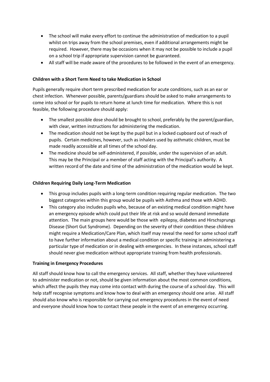- The school will make every effort to continue the administration of medication to a pupil whilst on trips away from the school premises, even if additional arrangements might be required. However, there may be occasions when it may not be possible to include a pupil on a school trip if appropriate supervision cannot be guaranteed.
- All staff will be made aware of the procedures to be followed in the event of an emergency.

#### **Children with a Short Term Need to take Medication in School**

Pupils generally require short term prescribed medication for acute conditions, such as an ear or chest infection. Whenever possible, parents/guardians should be asked to make arrangements to come into school or for pupils to return home at lunch time for medication. Where this is not feasible, the following procedure should apply:

- The smallest possible dose should be brought to school, preferably by the parent/guardian, with clear, written instructions for administering the medication.
- The medication should not be kept by the pupil but in a locked cupboard out of reach of pupils. Certain medicines, however, such as inhalers used by asthmatic children, must be made readily accessible at all times of the school day.
- The medicine should be self-administered, if possible, under the supervision of an adult. This may be the Principal or a member of staff acting with the Principal's authority. A written record of the date and time of the administration of the medication would be kept.

#### **Children Requiring Daily Long-Term Medication**

- This group includes pupils with a long-term condition requiring regular medication. The two biggest categories within this group would be pupils with Asthma and those with ADHD.
- This category also includes pupils who, because of an existing medical condition might have an emergency episode which could put their life at risk and so would demand immediate attention. The main groups here would be those with epilepsy, diabetes and Hirschsprungs Disease (Short Gut Syndrome). Depending on the severity of their condition these children might require a Medication/Care Plan, which itself may reveal the need for some school staff to have further information about a medical condition or specific training in administering a particular type of medication or in dealing with emergencies. In these instances, school staff should never give medication without appropriate training from health professionals.

#### **Training in Emergency Procedures**

All staff should know how to call the emergency services. All staff, whether they have volunteered to administer medication or not, should be given information about the most common conditions, which affect the pupils they may come into contact with during the course of a school day. This will help staff recognise symptoms and know how to deal with an emergency should one arise. All staff should also know who is responsible for carrying out emergency procedures in the event of need and everyone should know how to contact these people in the event of an emergency occurring.